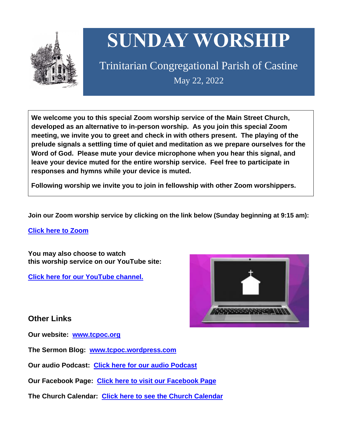

# **SUNDAY WORSHIP**

Trinitarian Congregational Parish of Castine May 22, 2022

**We welcome you to this special Zoom worship service of the Main Street Church, developed as an alternative to in-person worship. As you join this special Zoom meeting, we invite you to greet and check in with others present. The playing of the prelude signals a settling time of quiet and meditation as we prepare ourselves for the Word of God. Please mute your device microphone when you hear this signal, and leave your device muted for the entire worship service. Feel free to participate in responses and hymns while your device is muted.**

**Following worship we invite you to join in fellowship with other Zoom worshippers.**

**Join our Zoom worship service by clicking on the link below (Sunday beginning at 9:15 am):**

**Click here to [Zoom](https://us02web.zoom.us/j/89573448511?pwd=MFRuSFBJR2NWL015RzlyZ1UycmROQT09)**

**You may also choose to watch this worship service on our YouTube site:**

**Click here for our [YouTube](https://www.youtube.com/channel/UC4Bu-O6pN-bdPOqVNg0fBxA) channel.**



# **Other Links**

**Our website: [www.tcpoc.org](http://www.tcpoc.org/)**

**The Sermon Blog: [www.tcpoc.wordpress.com](http://www.tcpoc.wordpress.com/)**

**Our audio Podcast: Click here for our audio [Podcast](https://podpoint.com/trinitarian-congregational-parish-of-castine-podcast)**

**Our Facebook Page: Click here to visit our [Facebook](https://www.facebook.com/tcpoc) Page**

**The Church Calendar: Click here to see the Church [Calendar](http://www.tcpoc.org/calendar.html)**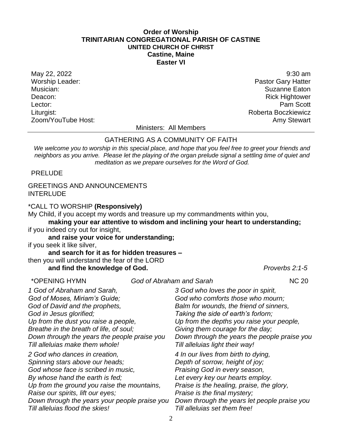### **Order of Worship TRINITARIAN CONGREGATIONAL PARISH OF CASTINE UNITED CHURCH OF CHRIST Castine, Maine Easter VI**

Worship Leader: **Pastor Gary Hatter Pastor Gary Hatter** Musician: Suzanne Eaton Deacon: Rick Hightower Lector: **Pam Scott** Liturgist: **Alternative Executive Service School Act and Act and Act and Act and Act and Act and Act and Act and Act and Act and Act and Act and Act and Act and Act and Act and Act and Act and Act and Act and Act and Act a** Zoom/YouTube Host: Amy Stewart Communication and Amy Stewart

May 22, 2022 9:30 am

Ministers: All Members

#### GATHERING AS A COMMUNITY OF FAITH

*We welcome you to worship in this special place, and hope that you feel free to greet your friends and neighbors as you arrive. Please let the playing of the organ prelude signal a settling time of quiet and meditation as we prepare ourselves for the Word of God.*

PRELUDE

### GREETINGS AND ANNOUNCEMENTS INTERLUDE

\*CALL TO WORSHIP **(Responsively)**

My Child, if you accept my words and treasure up my commandments within you,

**making your ear attentive to wisdom and inclining your heart to understanding;** if you indeed cry out for insight,

**and raise your voice for understanding;**

if you seek it like silver,

#### **and search for it as for hidden treasures –**

then you will understand the fear of the LORD

## **and find the knowledge of God.** *Proverbs 2:1-5*

\*OPENING HYMN *God of Abraham and Sarah* NC 20 *1 God of Abraham and Sarah, God of Moses, Miriam's Guide; God of David and the prophets, God in Jesus glorified; Up from the dust you raise a people, Breathe in the breath of life, of soul; Down through the years the people praise you Till alleluias make them whole! 2 God who dances in creation, Spinning stars above our heads; God whose face is scribed in music, By whose hand the earth is fed; Up from the ground you raise the mountains, Raise our spirits, lift our eyes; Down through the years your people praise you Till alleluias flood the skies! 3 God who loves the poor in spirit, God who comforts those who mourn; Balm for wounds, the friend of sinners, Taking the side of earth's forlorn; Up from the depths you raise your people, Giving them courage for the day; Down through the years the people praise you Till alleluias light their way! 4 In our lives from birth to dying, Depth of sorrow, height of joy; Praising God in every season, Let every key our hearts employ. Praise is the healing, praise, the glory, Praise is the final mystery; Down through the years let people praise you Till alleluias set them free!*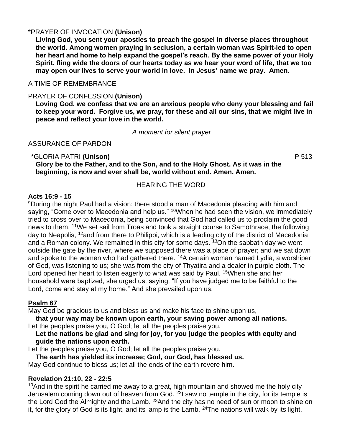# \*PRAYER OF INVOCATION **(Unison)**

**Living God, you sent your apostles to preach the gospel in diverse places throughout the world. Among women praying in seclusion, a certain woman was Spirit-led to open her heart and home to help expand the gospel's reach. By the same power of your Holy Spirit, fling wide the doors of our hearts today as we hear your word of life, that we too may open our lives to serve your world in love. In Jesus' name we pray. Amen.**

A TIME OF REMEMBRANCE

# PRAYER OF CONFESSION **(Unison)**

**Loving God, we confess that we are an anxious people who deny your blessing and fail to keep your word. Forgive us, we pray, for these and all our sins, that we might live in peace and reflect your love in the world.**

*A moment for silent prayer*

# ASSURANCE OF PARDON

# \*GLORIA PATRI **(Unison)** P 513 **Glory be to the Father, and to the Son, and to the Holy Ghost. As it was in the beginning, is now and ever shall be, world without end. Amen. Amen.**

# HEARING THE WORD

# **Acts 16:9 - 15**

<sup>9</sup>During the night Paul had a vision: there stood a man of Macedonia pleading with him and saying, "Come over to Macedonia and help us." <sup>10</sup>When he had seen the vision, we immediately tried to cross over to Macedonia, being convinced that God had called us to proclaim the good news to them. <sup>11</sup>We set sail from Troas and took a straight course to Samothrace, the following day to Neapolis, <sup>12</sup>and from there to Philippi, which is a leading city of the district of Macedonia and a Roman colony. We remained in this city for some days.  $13$ On the sabbath day we went outside the gate by the river, where we supposed there was a place of prayer; and we sat down and spoke to the women who had gathered there. <sup>14</sup>A certain woman named Lydia, a worshiper of God, was listening to us; she was from the city of Thyatira and a dealer in purple cloth. The Lord opened her heart to listen eagerly to what was said by Paul. <sup>15</sup>When she and her household were baptized, she urged us, saying, "If you have judged me to be faithful to the Lord, come and stay at my home." And she prevailed upon us.

# **Psalm 67**

May God be gracious to us and bless us and make his face to shine upon us,

**that your way may be known upon earth, your saving power among all nations.** Let the peoples praise you, O God; let all the peoples praise you.

**Let the nations be glad and sing for joy, for you judge the peoples with equity and guide the nations upon earth.** 

Let the peoples praise you, O God; let all the peoples praise you.

**The earth has yielded its increase; God, our God, has blessed us.**

May God continue to bless us; let all the ends of the earth revere him.

# **Revelation 21:10, 22 - 22:5**

 $10$ And in the spirit he carried me away to a great, high mountain and showed me the holy city Jerusalem coming down out of heaven from God.  $^{22}$ I saw no temple in the city, for its temple is the Lord God the Almighty and the Lamb. <sup>23</sup> And the city has no need of sun or moon to shine on it, for the glory of God is its light, and its lamp is the Lamb.  $24$ The nations will walk by its light,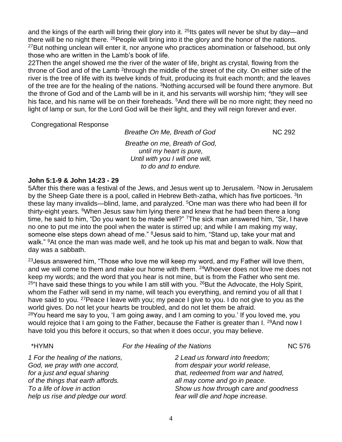and the kings of the earth will bring their glory into it. <sup>25</sup> Its gates will never be shut by day—and there will be no night there. <sup>26</sup>People will bring into it the glory and the honor of the nations. <sup>27</sup>But nothing unclean will enter it, nor anyone who practices abomination or falsehood, but only those who are written in the Lamb's book of life.

22Then the angel showed me the river of the water of life, bright as crystal, flowing from the throne of God and of the Lamb <sup>2</sup>through the middle of the street of the city. On either side of the river is the tree of life with its twelve kinds of fruit, producing its fruit each month; and the leaves of the tree are for the healing of the nations. <sup>3</sup>Nothing accursed will be found there anymore. But the throne of God and of the Lamb will be in it, and his servants will worship him; <sup>4</sup>they will see his face, and his name will be on their foreheads. <sup>5</sup>And there will be no more night; they need no light of lamp or sun, for the Lord God will be their light, and they will reign forever and ever.

Congregational Response

**Breathe On Me, Breath of God NC 292** *Breathe on me, Breath of God, until my heart is pure, Until with you I will one will, to do and to endure.*

# **John 5:1-9 & John 14:23 - 29**

5After this there was a festival of the Jews, and Jesus went up to Jerusalem. <sup>2</sup>Now in Jerusalem by the Sheep Gate there is a pool, called in Hebrew Beth-zatha, which has five porticoes. <sup>3</sup> In these lay many invalids—blind, lame, and paralyzed. <sup>5</sup>One man was there who had been ill for thirty-eight years. <sup>6</sup>When Jesus saw him lying there and knew that he had been there a long time, he said to him, "Do you want to be made well?" <sup>7</sup>The sick man answered him, "Sir, I have no one to put me into the pool when the water is stirred up; and while I am making my way, someone else steps down ahead of me." <sup>8</sup> Jesus said to him, "Stand up, take your mat and walk." <sup>9</sup>At once the man was made well, and he took up his mat and began to walk. Now that day was a sabbath.

 $23$  Jesus answered him, "Those who love me will keep my word, and my Father will love them, and we will come to them and make our home with them. <sup>24</sup>Whoever does not love me does not keep my words; and the word that you hear is not mine, but is from the Father who sent me.  $25$ "I have said these things to you while I am still with you.  $26$ But the Advocate, the Holy Spirit, whom the Father will send in my name, will teach you everything, and remind you of all that I have said to you. <sup>27</sup> Peace I leave with you; my peace I give to you. I do not give to you as the world gives. Do not let your hearts be troubled, and do not let them be afraid.  $28$ You heard me say to you, 'I am going away, and I am coming to you.' If you loved me, you would rejoice that I am going to the Father, because the Father is greater than I. <sup>29</sup>And now I

| *HYMN                                                                                                                                                                                                       | For the Healing of the Nations                                                                                                                                                                                           | <b>NC 576</b> |
|-------------------------------------------------------------------------------------------------------------------------------------------------------------------------------------------------------------|--------------------------------------------------------------------------------------------------------------------------------------------------------------------------------------------------------------------------|---------------|
| 1 For the healing of the nations,<br>God, we pray with one accord,<br>for a just and equal sharing<br>of the things that earth affords.<br>To a life of love in action<br>help us rise and pledge our word. | 2 Lead us forward into freedom;<br>from despair your world release,<br>that, redeemed from war and hatred,<br>all may come and go in peace.<br>Show us how through care and goodness<br>fear will die and hope increase. |               |

have told you this before it occurs, so that when it does occur, you may believe.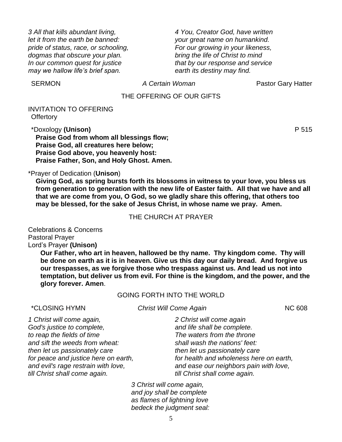*3 All that kills abundant living, let it from the earth be banned: pride of status, race, or schooling, dogmas that obscure your plan. In our common quest for justice may we hallow life's brief span.*

*4 You, Creator God, have written your great name on humankind. For our growing in your likeness, bring the life of Christ to mind that by our response and service earth its destiny may find.*

SERMON *A Certain Woman* Pastor Gary Hatter

### THE OFFERING OF OUR GIFTS

INVITATION TO OFFERING **Offertory** 

\*Doxology **(Unison)** P 515 **Praise God from whom all blessings flow; Praise God, all creatures here below; Praise God above, you heavenly host: Praise Father, Son, and Holy Ghost. Amen.**

\*Prayer of Dedication (**Unison**)

**Giving God, as spring bursts forth its blossoms in witness to your love, you bless us from generation to generation with the new life of Easter faith. All that we have and all that we are come from you, O God, so we gladly share this offering, that others too may be blessed, for the sake of Jesus Christ, in whose name we pray. Amen.**

#### THE CHURCH AT PRAYER

Celebrations & Concerns Pastoral Prayer Lord's Prayer **(Unison)**

> **Our Father, who art in heaven, hallowed be thy name. Thy kingdom come. Thy will be done on earth as it is in heaven. Give us this day our daily bread. And forgive us our trespasses, as we forgive those who trespass against us. And lead us not into temptation, but deliver us from evil. For thine is the kingdom, and the power, and the glory forever. Amen**.

#### GOING FORTH INTO THE WORLD

\*CLOSING HYMN *Christ Will Come Again* NC 608

| 1 Christ will come again,            |  |
|--------------------------------------|--|
| God's justice to complete,           |  |
| to reap the fields of time           |  |
| and sift the weeds from wheat:       |  |
| then let us passionately care        |  |
| for peace and justice here on earth, |  |
| and evil's rage restrain with love,  |  |
| till Christ shall come again.        |  |

*2 Christ will come again*

*and life shall be complete. The waters from the throne shall wash the nations' feet: then let us passionately care for health and wholeness here on earth, and ease our neighbors pain with love, till Christ shall come again.*

*3 Christ will come again, and joy shall be complete as flames of lightning love bedeck the judgment seal:*